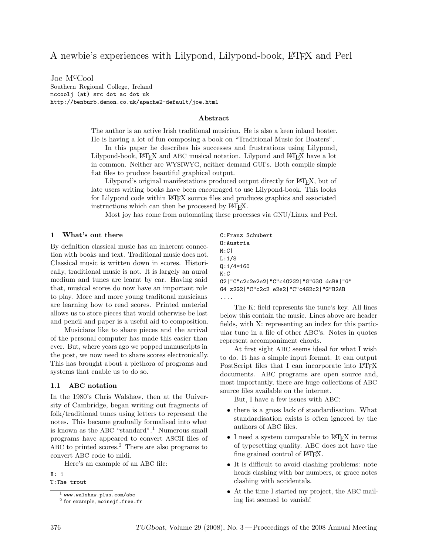Joe McCool Southern Regional College, Ireland mccoolj (at) src dot ac dot uk http://benburb.demon.co.uk/apache2-default/joe.html

### Abstract

The author is an active Irish traditional musician. He is also a keen inland boater. He is having a lot of fun composing a book on "Traditional Music for Boaters".

In this paper he describes his successes and frustrations using Lilypond, Lilypond-book, L<sup>A</sup>TEX and ABC musical notation. Lilypond and L<sup>A</sup>TEX have a lot in common. Neither are WYSIWYG, neither demand GUI's. Both compile simple flat files to produce beautiful graphical output.

Lilypond's original manifestations produced output directly for LATEX, but of late users writing books have been encouraged to use Lilypond-book. This looks for Lilypond code within LATEX source files and produces graphics and associated instructions which can then be processed by LAT<sub>EX</sub>.

Most joy has come from automating these processes via GNU/Linux and Perl.

#### 1 What's out there

By definition classical music has an inherent connection with books and text. Traditional music does not. Classical music is written down in scores. Historically, traditional music is not. It is largely an aural medium and tunes are learnt by ear. Having said that, musical scores do now have an important role to play. More and more young traditonal musicians are learning how to read scores. Printed material allows us to store pieces that would otherwise be lost and pencil and paper is a useful aid to composition.

Musicians like to share pieces and the arrival of the personal computer has made this easier than ever. But, where years ago we popped manuscripts in the post, we now need to share scores electronically. This has brought about a plethora of programs and systems that enable us to do so.

#### 1.1 ABC notation

In the 1980's Chris Walshaw, then at the University of Cambridge, began writing out fragments of folk/traditional tunes using letters to represent the notes. This became gradually formalised into what is known as the ABC "standard".<sup>1</sup> Numerous small programs have appeared to convert ASCII files of ABC to printed scores.<sup>2</sup> There are also programs to convert ABC code to midi.

Here's an example of an ABC file:

X: 1

T:The trout

C:Franz Schubert O:Austria M:C| L:1/8  $Q:1/4=160$ K:C G2|"C"c2c2e2e2|"C"c4G2G2|"G"G3G dcBA|"G" G4 z2G2|"C"c2c2 e2e2|"C"c4G2c2|"G"B2AB ....

The K: field represents the tune's key. All lines below this contain the music. Lines above are header fields, with X: representing an index for this particular tune in a file of other ABC's. Notes in quotes represent accompaniment chords.

At first sight ABC seems ideal for what I wish to do. It has a simple input format. It can output PostScript files that I can incorporate into LATEX documents. ABC programs are open source and, most importantly, there are huge collections of ABC source files available on the internet.

But, I have a few issues with ABC:

- there is a gross lack of standardisation. What standardisation exists is often ignored by the authors of ABC files.
- I need a system comparable to LAT<sub>F</sub>X in terms of typesetting quality. ABC does not have the fine grained control of L<sup>AT</sup>FX.
- It is difficult to avoid clashing problems: note heads clashing with bar numbers, or grace notes clashing with accidentals.
- At the time I started my project, the ABC mailing list seemed to vanish!

 $<sup>1</sup>$  www.walshaw.plus.com/abc</sup>

<sup>&</sup>lt;sup>2</sup> for example, moinejf.free.fr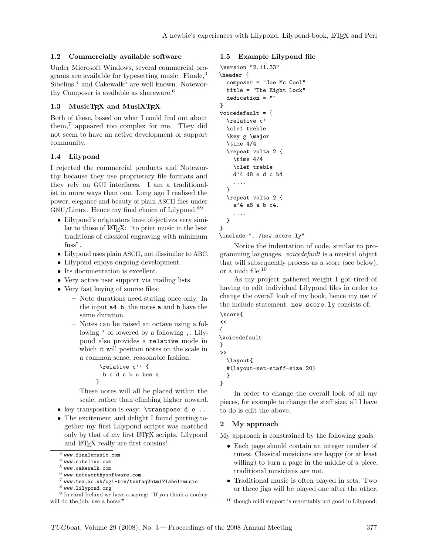### 1.2 Commercially available software

Under Microsoft Windows, several commercial programs are available for typesetting music. Finale,<sup>3</sup> Sibelius, $4$  and Cakewalk<sup>5</sup> are well known. Noteworthy Composer is available as shareware.<sup>6</sup>

### 1.3 MusicTEX and MusiXTEX

Both of these, based on what I could find out about them,<sup>7</sup> appeared too complex for me. They did not seem to have an active development or support community.

### 1.4 Lilypond

I rejected the commercial products and Noteworthy because they use proprietary file formats and they rely on GUI interfaces. I am a traditionalist in more ways than one. Long ago I realised the power, elegance and beauty of plain ASCII files under GNU/Linux. Hence my final choice of Lilypond.<sup>89</sup>

- Lilypond's originators have objectives very similar to those of LAT<sub>EX</sub>: "to print music in the best" traditions of classical engraving with minimum fuss".
- Lilypond uses plain ASCII, not dissimilar to ABC.
- Lilypond enjoys ongoing development.
- Its documentation is excellent.
- Very active user support via mailing lists.
- Very fast keying of source files:
	- Note durations need stating once only. In the input a4 b, the notes a and b have the same duration.
	- Notes can be raised an octave using a following ' or lowered by a following ,. Lilypond also provides a relative mode in which it will position notes on the scale in a common sense, reasonable fashion.

$$
\verb+\relative c'' {\n b c d c b c b es a\n}
$$

These notes will all be placed within the scale, rather than climbing higher upward.

- key transposition is easy: \transpose d e ...
- The excitement and delight I found putting together my first Lilypond scripts was matched only by that of my first LATEX scripts. Lilypond and LAT<sub>F</sub>X really are first cousins!

 $^6\,$  www.noteworthysoftware.com

<sup>8</sup> www.lilypond.org

### 1.5 Example Lilypond file

```
\version "2.11.33"
\header {
  composer = "Joe Mc Cool"
  title = "The Eight Lock"
  dedication = ""
}
voicedefault = {
  \relative c'
  \clef treble
  \key g \major
  \times 4/4
  \repeat volta 2 {
    \times 4/4
    \clef treble
    d'4 d8 e d c b4
    ....
  }
  \repeat volta 2 {
    a'4 a8 a b c4.
    ....
  }
}
```
\include "../new.score.ly"

Notice the indentation of code, similar to programming languages. voicedefault is a musical object that will subsequently process as a score (see below), or a midi file.<sup>10</sup>

As my project gathered weight I got tired of having to edit individual Lilypond files in order to change the overall look of my book, hence my use of the include statement. new.score.ly consists of:

```
\score{
\lt\voicedefault
}
\rightarrow\layout{
  #(layout-set-staff-size 20)
  }
```
{

}

In order to change the overall look of all my pieces, for example to change the staff size, all I have to do is edit the above.

## 2 My approach

My approach is constrained by the following goals:

- Each page should contain an integer number of tunes. Classical musicians are happy (or at least willing) to turn a page in the middle of a piece, traditional musicians are not.
- Traditional music is often played in sets. Two or three jigs will be played one after the other,

<sup>3</sup> www.finalemusic.com

 $<sup>4</sup>$  www.sibelius.com</sup>

 $^5$ www.cakewalk.com

<sup>7</sup> www.tex.ac.uk/cgi-bin/texfaq2html?label=music

<sup>&</sup>lt;sup>9</sup> In rural Ireland we have a saying: "If you think a donkey will do the job, use a horse!"

<sup>10</sup> though midi support is regrettably not good in Lilypond.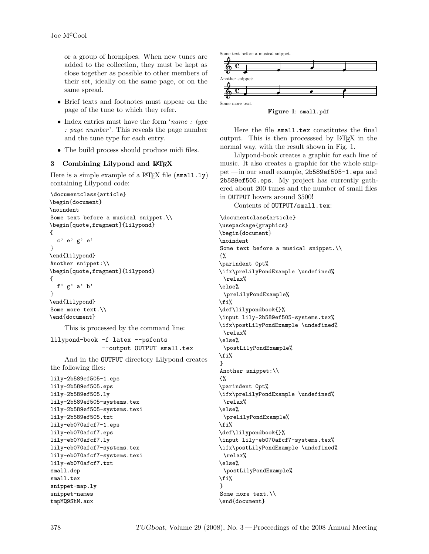or a group of hornpipes. When new tunes are added to the collection, they must be kept as close together as possible to other members of their set, ideally on the same page, or on the same spread.

- Brief texts and footnotes must appear on the page of the tune to which they refer.
- Index entries must have the form 'name : type : page number'. This reveals the page number and the tune type for each entry.
- The build process should produce midi files.

#### 3 Combining Lilypond and L<sup>AT</sup>EX

Here is a simple example of a  $\mathbb{A}$ T<sub>F</sub>X file (small.ly) containing Lilypond code:

```
\documentclass{article}
\begin{document}
\noindent
Some text before a musical snippet.\\
\begin[quote,fragment]{lilypond}
{
  c' e' g' e'
}
\end{lilypond}
Another snippet:\\
\begin[quote,fragment]{lilypond}
{
  f' g' a' b'
}
\end{lilypond}
Some more text.\\
\end{document}
```
This is processed by the command line:

```
lilypond-book -f latex --psfonts
              --output OUTPUT small.tex
```
And in the OUTPUT directory Lilypond creates the following files:

```
lily-2b589ef505-1.eps
lily-2b589ef505.eps
lily-2b589ef505.ly
lily-2b589ef505-systems.tex
lily-2b589ef505-systems.texi
lily-2b589ef505.txt
lily-eb070afcf7-1.eps
lily-eb070afcf7.eps
lily-eb070afcf7.ly
lily-eb070afcf7-systems.tex
lily-eb070afcf7-systems.texi
lily-eb070afcf7.txt
small.dep
small.tex
snippet-map.ly
snippet-names
tmpMQ9ShM.aux
```


Figure 1: small.pdf

Here the file small.tex constitutes the final output. This is then processsed by LAT<sub>EX</sub> in the normal way, with the result shown in Fig. 1.

Lilypond-book creates a graphic for each line of music. It also creates a graphic for the whole snippet — in our small example, 2b589ef505-1.eps and 2b589ef505.eps. My project has currently gathered about 200 tunes and the number of small files in OUTPUT hovers around 3500!

Contents of OUTPUT/small.tex:

\documentclass{article} \usepackage{graphics} \begin{document} \noindent Some text before a musical snippet.\\ {% \parindent 0pt% \ifx\preLilyPondExample \undefined% \relax% \else% \preLilyPondExample% \fi% \def\lilypondbook{}% \input lily-2b589ef505-systems.tex% \ifx\postLilyPondExample \undefined% \relax% \else% \postLilyPondExample% \fi% } Another snippet:\\ {% \parindent 0pt% \ifx\preLilyPondExample \undefined% \relax% \else% \preLilyPondExample% \fi% \def\lilypondbook{}% \input lily-eb070afcf7-systems.tex% \ifx\postLilyPondExample \undefined% \relax% \else% \postLilyPondExample% \fi% } Some more text.\\ \end{document}